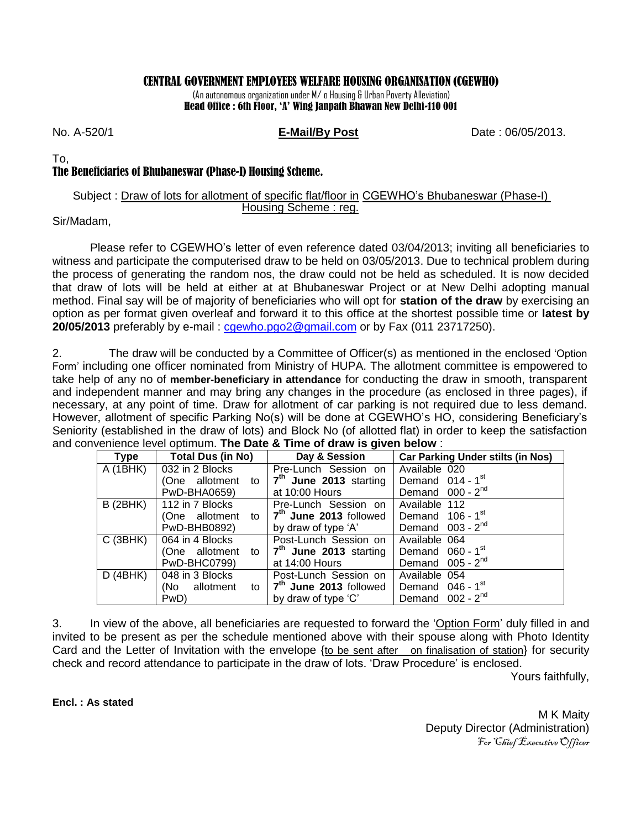### CENTRAL GOVERNMENT EMPLOYEES WELFARE HOUSING ORGANISATION (CGEWHO)

(An autonomous organization under M/ o Housing & Urban Poverty Alleviation) Head Office : 6th Floor, 'A' Wing Janpath Bhawan New Delhi-110 001

No. A-520/1 **E-Mail/By Post** Date : 06/05/2013.

To,

# The Beneficiaries of Bhubaneswar (Phase-I) Housing Scheme.

#### Subject : Draw of lots for allotment of specific flat/floor in CGEWHO's Bhubaneswar (Phase-I) Housing Scheme : reg.

### Sir/Madam,

Please refer to CGEWHO's letter of even reference dated 03/04/2013; inviting all beneficiaries to witness and participate the computerised draw to be held on 03/05/2013. Due to technical problem during the process of generating the random nos, the draw could not be held as scheduled. It is now decided that draw of lots will be held at either at at Bhubaneswar Project or at New Delhi adopting manual method. Final say will be of majority of beneficiaries who will opt for **station of the draw** by exercising an option as per format given overleaf and forward it to this office at the shortest possible time or **latest by 20/05/2013** preferably by e-mail : [cgewho.pgo2@gmail.com](mailto:cgewho.pgo2@gmail.com) or by Fax (011 23717250).

2. The draw will be conducted by a Committee of Officer(s) as mentioned in the enclosed 'Option Form' including one officer nominated from Ministry of HUPA. The allotment committee is empowered to take help of any no of **member-beneficiary in attendance** for conducting the draw in smooth, transparent and independent manner and may bring any changes in the procedure (as enclosed in three pages), if necessary, at any point of time. Draw for allotment of car parking is not required due to less demand. However, allotment of specific Parking No(s) will be done at CGEWHO's HO, considering Beneficiary's Seniority (established in the draw of lots) and Block No (of allotted flat) in order to keep the satisfaction and convenience level optimum. **The Date & Time of draw is given below** :

| Type            | Total Dus (in No)   | Day & Session                      | <b>Car Parking Under stilts (in Nos)</b> |
|-----------------|---------------------|------------------------------------|------------------------------------------|
| A (1BHK)        | 032 in 2 Blocks     | Pre-Lunch Session on               | Available 020                            |
|                 | (One allotment to   | 7 <sup>th</sup> June 2013 starting | Demand $014 - 1st$                       |
|                 | PwD-BHA0659)        | at 10:00 Hours                     | Demand $000 - 2nd$                       |
| <b>B</b> (2BHK) | 112 in 7 Blocks     | Pre-Lunch Session on               | Available 112                            |
|                 | (One allotment to   | 7 <sup>th</sup> June 2013 followed | Demand $106 - 1$ <sup>st</sup>           |
|                 | PwD-BHB0892)        | by draw of type 'A'                | Demand $003 - 2^{nd}$                    |
| C(3BHK)         | 064 in 4 Blocks     | Post-Lunch Session on              | Available 064                            |
|                 | (One allotment to I | 7 <sup>th</sup> June 2013 starting | Demand 060 - 1 <sup>st</sup>             |
|                 | PwD-BHC0799)        | at $14:00$ Hours                   | Demand $005 - 2nd$                       |
| D(4BHK)         | 048 in 3 Blocks     | Post-Lunch Session on              | Available 054                            |
|                 | (No allotment<br>to | 7 <sup>th</sup> June 2013 followed | Demand $046 - 1$ <sup>st</sup>           |
|                 | PwD)                | by draw of type 'C'                | Demand $002 - 2nd$                       |

3. In view of the above, all beneficiaries are requested to forward the 'Option Form' duly filled in and invited to be present as per the schedule mentioned above with their spouse along with Photo Identity Card and the Letter of Invitation with the envelope {to be sent after on finalisation of station} for security check and record attendance to participate in the draw of lots. 'Draw Procedure' is enclosed.

Yours faithfully,

**Encl. : As stated**

M K Maity Deputy Director (Administration) For Chief Executive Officer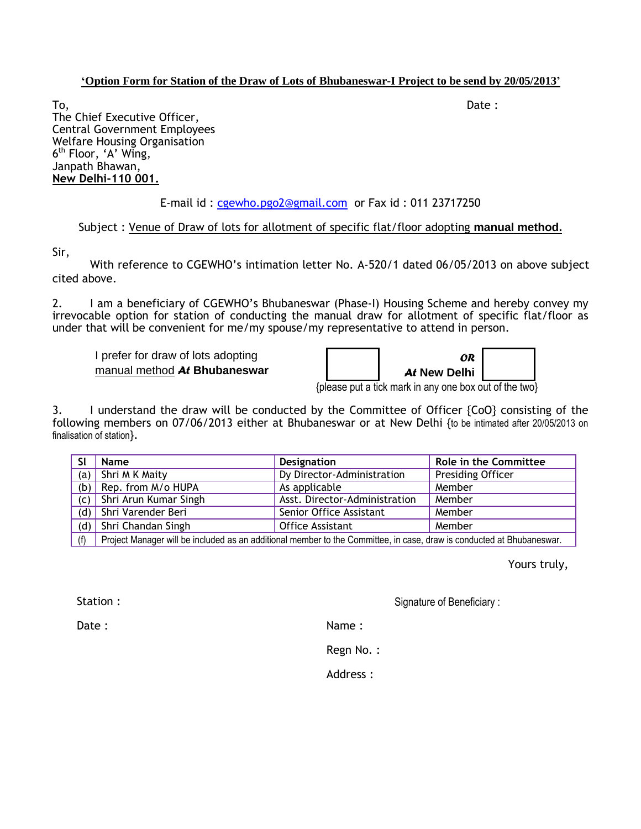#### **'Option Form for Station of the Draw of Lots of Bhubaneswar-I Project to be send by 20/05/2013'**

To, the contract of the contract of the contract of the contract of the contract of the contract of  $\mathsf{Date}:$ The Chief Executive Officer, Central Government Employees Welfare Housing Organisation 6 th Floor, 'A' Wing, Janpath Bhawan, **New Delhi-110 001.**

# E-mail id : [cgewho.pgo2@gmail.com](mailto:cgewho.pgo2@gmail.com) or Fax id : 011 23717250

## Subject : Venue of Draw of lots for allotment of specific flat/floor adopting **manual method.**

Sir,

With reference to CGEWHO's intimation letter No. A-520/1 dated 06/05/2013 on above subject cited above.

2. I am a beneficiary of CGEWHO's Bhubaneswar (Phase-I) Housing Scheme and hereby convey my irrevocable option for station of conducting the manual draw for allotment of specific flat/floor as under that will be convenient for me/my spouse/my representative to attend in person.

I prefer for draw of lots adopting manual method *At* **Bhubaneswar**

| ÓR           |  |
|--------------|--|
| At New Delhi |  |

{please put a tick mark in any one box out of the two}

3. I understand the draw will be conducted by the Committee of Officer {CoO} consisting of the following members on 07/06/2013 either at Bhubaneswar or at New Delhi {to be intimated after 20/05/2013 on finalisation of station}.

| SI  | <b>Name</b>                                                                                                           | <b>Designation</b>            | Role in the Committee    |  |
|-----|-----------------------------------------------------------------------------------------------------------------------|-------------------------------|--------------------------|--|
| (a) | Shri M K Maity                                                                                                        | Dy Director-Administration    | <b>Presiding Officer</b> |  |
| (b) | Rep. from M/o HUPA                                                                                                    | As applicable                 | Member                   |  |
| (c) | Shri Arun Kumar Singh                                                                                                 | Asst. Director-Administration | Member                   |  |
| (d) | Shri Varender Beri                                                                                                    | Member                        |                          |  |
| (d) | Shri Chandan Singh                                                                                                    | <b>Office Assistant</b>       | Member                   |  |
| (f) | Project Manager will be included as an additional member to the Committee, in case, draw is conducted at Bhubaneswar. |                               |                          |  |

Yours truly,

Station :

Signature of Beneficiary :

Date:

Name :

Regn No. :

Address :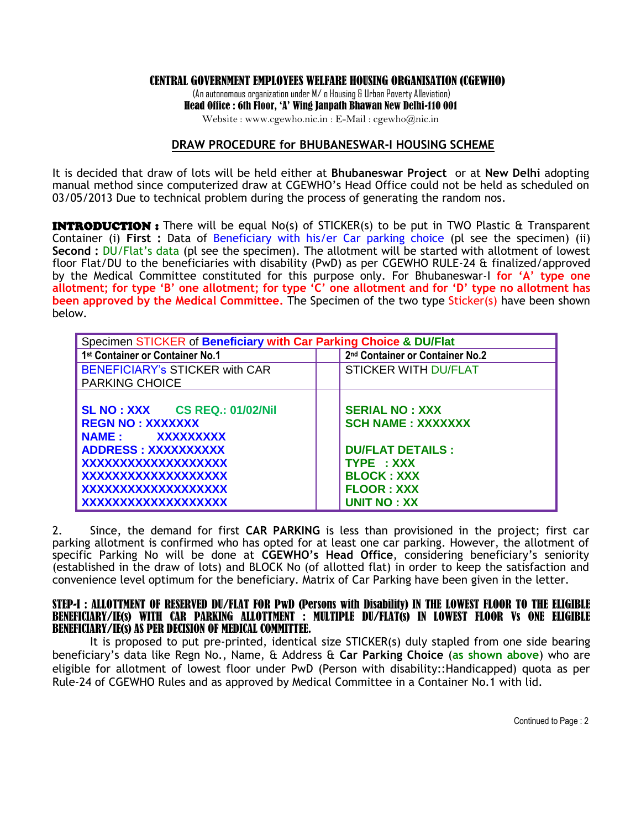#### CENTRAL GOVERNMENT EMPLOYEES WELFARE HOUSING ORGANISATION (CGEWHO)

(An autonomous organization under M/ o Housing & Urban Poverty Alleviation) Head Office : 6th Floor, 'A' Wing Janpath Bhawan New Delhi-110 001

Website : www.cgewho.nic.in : E-Mail : cgewho@nic.in

#### **DRAW PROCEDURE for BHUBANESWAR-I HOUSING SCHEME**

It is decided that draw of lots will be held either at **Bhubaneswar Project** or at **New Delhi** adopting manual method since computerized draw at CGEWHO's Head Office could not be held as scheduled on 03/05/2013 Due to technical problem during the process of generating the random nos.

**INTRODUCTION:** There will be equal No(s) of STICKER(s) to be put in TWO Plastic & Transparent Container (i) **First :** Data of Beneficiary with his/er Car parking choice (pl see the specimen) (ii) **Second :** DU/Flat's data (pl see the specimen). The allotment will be started with allotment of lowest floor Flat/DU to the beneficiaries with disability (PwD) as per CGEWHO RULE-24 & finalized/approved by the Medical Committee constituted for this purpose only. For Bhubaneswar-I **for 'A' type one allotment; for type 'B' one allotment; for type 'C' one allotment and for 'D' type no allotment has been approved by the Medical Committee.** The Specimen of the two type Sticker(s) have been shown below.

| Specimen STICKER of Beneficiary with Car Parking Choice & DU/Flat |                                             |  |  |
|-------------------------------------------------------------------|---------------------------------------------|--|--|
| 1st Container or Container No.1                                   | 2 <sup>nd</sup> Container or Container No.2 |  |  |
| <b>BENEFICIARY's STICKER with CAR</b>                             | <b>STICKER WITH DU/FLAT</b>                 |  |  |
| <b>PARKING CHOICE</b>                                             |                                             |  |  |
|                                                                   |                                             |  |  |
| <b>SL NO : XXX CS REQ.: 01/02/Nil</b>                             | <b>SERIAL NO: XXX</b>                       |  |  |
| <b>REGN NO: XXXXXXX</b>                                           | <b>SCH NAME: XXXXXXX</b>                    |  |  |
| NAME: XXXXXXXXX                                                   |                                             |  |  |
| ADDRESS: XXXXXXXXXX                                               | <b>DU/FLAT DETAILS:</b>                     |  |  |
| XXXXXXXXXXXXXXXXXX                                                | TYPE : XXX                                  |  |  |
| XXXXXXXXXXXXXXXXXXX                                               | <b>BLOCK: XXX</b>                           |  |  |
| XXXXXXXXXXXXXXXXXXX                                               | <b>FLOOR: XXX</b>                           |  |  |
| XXXXXXXXXXXXXXXXXXX                                               | <b>UNIT NO: XX</b>                          |  |  |

2. Since, the demand for first **CAR PARKING** is less than provisioned in the project; first car parking allotment is confirmed who has opted for at least one car parking. However, the allotment of specific Parking No will be done at **CGEWHO's Head Office**, considering beneficiary's seniority (established in the draw of lots) and BLOCK No (of allotted flat) in order to keep the satisfaction and convenience level optimum for the beneficiary. Matrix of Car Parking have been given in the letter.

#### STEP-I : ALLOTTMENT OF RESERVED DU/FLAT FOR PwD (Persons with Disability) IN THE LOWEST FLOOR TO THE ELIGIBLE BENEFICIARY/IE(s) WITH CAR PARKING ALLOTTMENT : MULTIPLE DU/FLAT(s) IN LOWEST FLOOR Vs ONE ELIGIBLE BENEFICIARY/IE(s) AS PER DECISION OF MEDICAL COMMITTEE.

It is proposed to put pre-printed, identical size STICKER(s) duly stapled from one side bearing beneficiary's data like Regn No., Name, & Address & **Car Parking Choice** (**as shown above**) who are eligible for allotment of lowest floor under PwD (Person with disability::Handicapped) quota as per Rule-24 of CGEWHO Rules and as approved by Medical Committee in a Container No.1 with lid.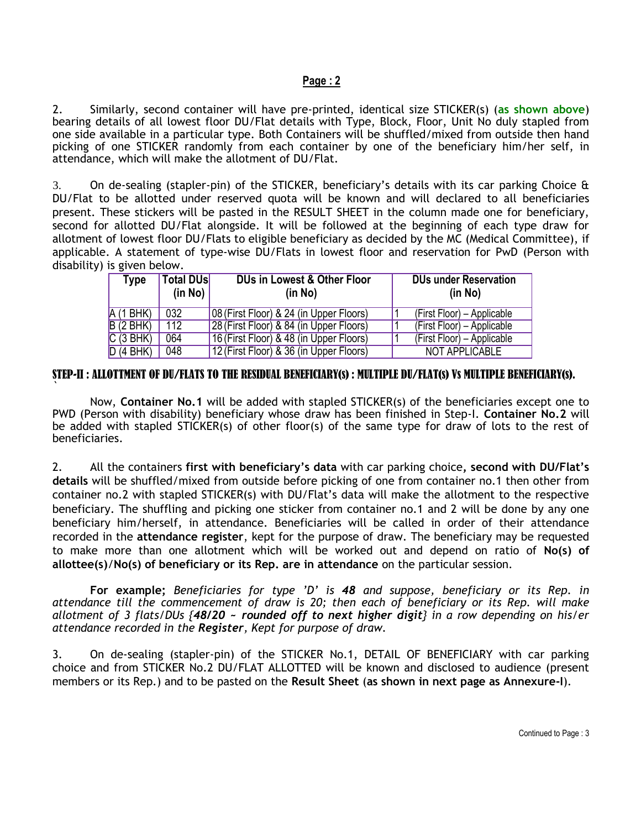#### **Page : 2**

2. Similarly, second container will have pre-printed, identical size STICKER(s) (**as shown above**) bearing details of all lowest floor DU/Flat details with Type, Block, Floor, Unit No duly stapled from one side available in a particular type. Both Containers will be shuffled/mixed from outside then hand picking of one STICKER randomly from each container by one of the beneficiary him/her self, in attendance, which will make the allotment of DU/Flat.

3. On de-sealing (stapler-pin) of the STICKER, beneficiary's details with its car parking Choice & DU/Flat to be allotted under reserved quota will be known and will declared to all beneficiaries present. These stickers will be pasted in the RESULT SHEET in the column made one for beneficiary, second for allotted DU/Flat alongside. It will be followed at the beginning of each type draw for allotment of lowest floor DU/Flats to eligible beneficiary as decided by the MC (Medical Committee), if applicable. A statement of type-wise DU/Flats in lowest floor and reservation for PwD (Person with disability) is given below.

| Type     | <b>Total DUsl</b> | DUs in Lowest & Other Floor             | <b>DUs under Reservation</b> |
|----------|-------------------|-----------------------------------------|------------------------------|
|          | (in No)           | (in No)                                 | (in No)                      |
| A(1 BHK) | 032               | 08 (First Floor) & 24 (in Upper Floors) | (First Floor) – Applicable   |
| B(2 BHK) | 112               | 28 (First Floor) & 84 (in Upper Floors) | (First Floor) – Applicable   |
| C(3 BHK) | 064               | 16 (First Floor) & 48 (in Upper Floors) | (First Floor) – Applicable   |
| D(4 BHK) | 048               | 12 (First Floor) & 36 (in Upper Floors) | NOT APPLICABLE               |

#### STEP-II : ALLOTTMENT OF DU/FLATS TO THE RESIDUAL BENEFICIARY(s) : MULTIPLE DU/FLAT(s) Vs MULTIPLE BENEFICIARY(s).

`

Now, **Container No.1** will be added with stapled STICKER(s) of the beneficiaries except one to PWD (Person with disability) beneficiary whose draw has been finished in Step-I. **Container No.2** will be added with stapled STICKER(s) of other floor(s) of the same type for draw of lots to the rest of beneficiaries.

2. All the containers **first with beneficiary's data** with car parking choice**, second with DU/Flat's details** will be shuffled/mixed from outside before picking of one from container no.1 then other from container no.2 with stapled STICKER(s) with DU/Flat's data will make the allotment to the respective beneficiary. The shuffling and picking one sticker from container no.1 and 2 will be done by any one beneficiary him/herself, in attendance. Beneficiaries will be called in order of their attendance recorded in the **attendance register**, kept for the purpose of draw. The beneficiary may be requested to make more than one allotment which will be worked out and depend on ratio of **No(s) of allottee(s)**/**No(s) of beneficiary or its Rep. are in attendance** on the particular session.

**For example;** *Beneficiaries for type 'D' is 48 and suppose, beneficiary or its Rep. in attendance till the commencement of draw is 20; then each of beneficiary or its Rep. will make allotment of 3 flats/DUs {48/20 ~ rounded off to next higher digit} in a row depending on his/er attendance recorded in the Register, Kept for purpose of draw.*

3. On de-sealing (stapler-pin) of the STICKER No.1, DETAIL OF BENEFICIARY with car parking choice and from STICKER No.2 DU/FLAT ALLOTTED will be known and disclosed to audience (present members or its Rep.) and to be pasted on the **Result Sheet** (**as shown in next page as Annexure-I**).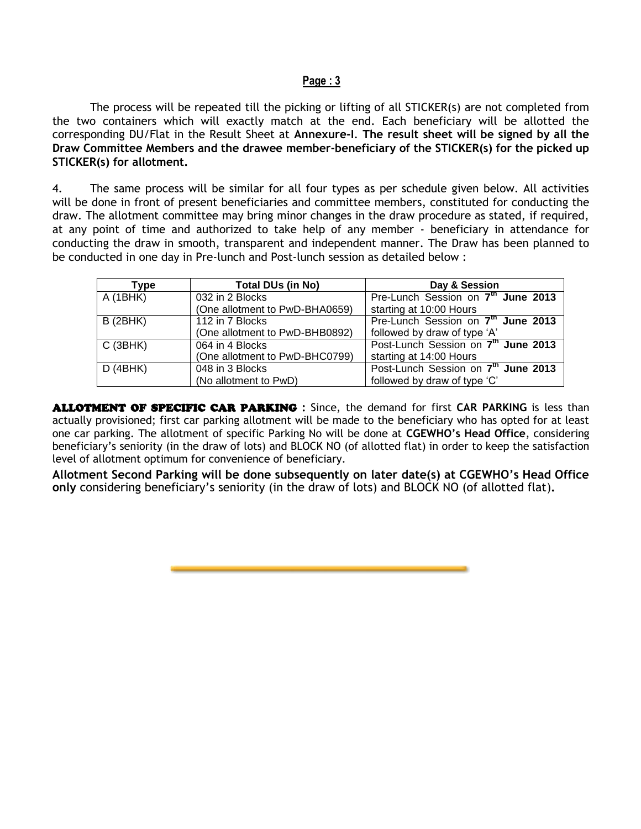#### **Page : 3**

The process will be repeated till the picking or lifting of all STICKER(s) are not completed from the two containers which will exactly match at the end. Each beneficiary will be allotted the corresponding DU/Flat in the Result Sheet at **Annexure-I**. **The result sheet will be signed by all the Draw Committee Members and the drawee member-beneficiary of the STICKER(s) for the picked up STICKER(s) for allotment.**

4. The same process will be similar for all four types as per schedule given below. All activities will be done in front of present beneficiaries and committee members, constituted for conducting the draw. The allotment committee may bring minor changes in the draw procedure as stated, if required, at any point of time and authorized to take help of any member - beneficiary in attendance for conducting the draw in smooth, transparent and independent manner. The Draw has been planned to be conducted in one day in Pre-lunch and Post-lunch session as detailed below :

| <b>Type</b>     | Total DUs (in No)              | Day & Session                                   |
|-----------------|--------------------------------|-------------------------------------------------|
| A(1BHK)         | 032 in 2 Blocks                | Pre-Lunch Session on 7 <sup>th</sup> June 2013  |
|                 | (One allotment to PwD-BHA0659) | starting at 10:00 Hours                         |
| <b>B</b> (2BHK) | 112 in 7 Blocks                | Pre-Lunch Session on 7 <sup>th</sup> June 2013  |
|                 | (One allotment to PwD-BHB0892) | followed by draw of type 'A'                    |
| C(3BHK)         | 064 in 4 Blocks                | Post-Lunch Session on 7 <sup>th</sup> June 2013 |
|                 | (One allotment to PwD-BHC0799) | starting at 14:00 Hours                         |
| D(4BHK)         | 048 in 3 Blocks                | Post-Lunch Session on 7 <sup>th</sup> June 2013 |
|                 | (No allotment to PwD)          | followed by draw of type 'C'                    |

ALLOTMENT OF SPECIFIC CAR PARKING **:** Since, the demand for first **CAR PARKING** is less than actually provisioned; first car parking allotment will be made to the beneficiary who has opted for at least one car parking. The allotment of specific Parking No will be done at **CGEWHO's Head Office**, considering beneficiary's seniority (in the draw of lots) and BLOCK NO (of allotted flat) in order to keep the satisfaction level of allotment optimum for convenience of beneficiary.

**Allotment Second Parking will be done subsequently on later date(s) at CGEWHO's Head Office only** considering beneficiary's seniority (in the draw of lots) and BLOCK NO (of allotted flat)**.**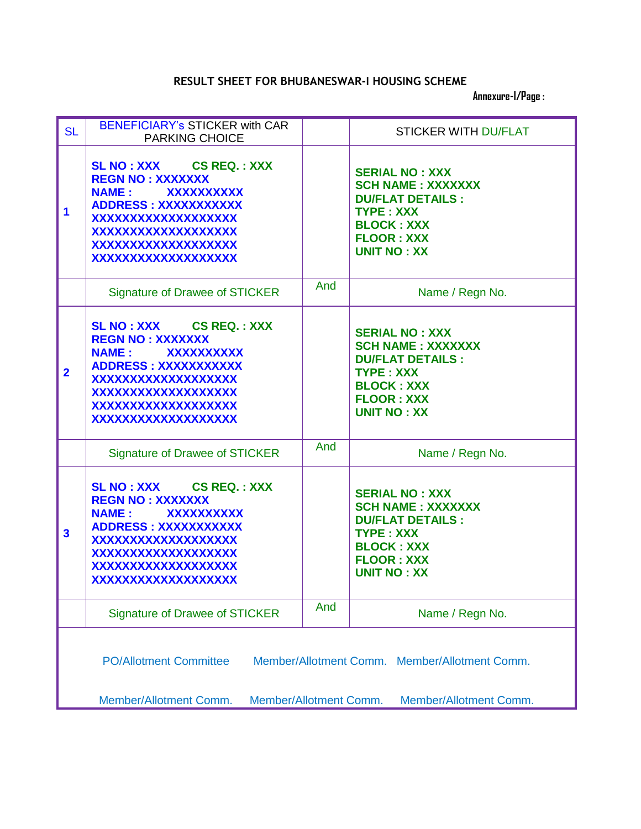# **RESULT SHEET FOR BHUBANESWAR-I HOUSING SCHEME**

 **Annexure-I/Page :**

| <b>SL</b>               | <b>BENEFICIARY's STICKER with CAR</b><br><b>PARKING CHOICE</b>                                                                                                                                                          |     | <b>STICKER WITH DU/FLAT</b>                                                                                                                                      |  |
|-------------------------|-------------------------------------------------------------------------------------------------------------------------------------------------------------------------------------------------------------------------|-----|------------------------------------------------------------------------------------------------------------------------------------------------------------------|--|
| 1                       | SL NO : XXX CS REQ. : XXX<br><b>REGN NO: XXXXXXX</b><br><b>XXXXXXXXXX</b><br><b>NAME:</b><br><b>ADDRESS: XXXXXXXXXXX</b><br>XXXXXXXXXXXXXXXXXXX<br>XXXXXXXXXXXXXXXXXXX<br>XXXXXXXXXXXXXXXXXXX<br>XXXXXXXXXXXXXXXXXXX    |     | <b>SERIAL NO: XXX</b><br><b>SCH NAME: XXXXXXX</b><br><b>DU/FLAT DETAILS:</b><br><b>TYPE: XXX</b><br><b>BLOCK: XXX</b><br><b>FLOOR: XXX</b><br><b>UNIT NO: XX</b> |  |
|                         | <b>Signature of Drawee of STICKER</b>                                                                                                                                                                                   | And | Name / Regn No.                                                                                                                                                  |  |
| $\overline{2}$          | <b>SL NO: XXX CS REQ.: XXX</b><br><b>REGN NO: XXXXXXX</b><br><b>NAME:</b><br><b>XXXXXXXXXX</b><br><b>ADDRESS: XXXXXXXXXXX</b><br>XXXXXXXXXXXXXXXXXX<br>XXXXXXXXXXXXXXXXXX<br>XXXXXXXXXXXXXXXXXXX<br>XXXXXXXXXXXXXXXXXXX |     | <b>SERIAL NO: XXX</b><br><b>SCH NAME: XXXXXXX</b><br><b>DU/FLAT DETAILS:</b><br><b>TYPE: XXX</b><br><b>BLOCK: XXX</b><br><b>FLOOR: XXX</b><br><b>UNIT NO: XX</b> |  |
|                         | <b>Signature of Drawee of STICKER</b>                                                                                                                                                                                   | And | Name / Regn No.                                                                                                                                                  |  |
| $\overline{\mathbf{3}}$ | SL NO: XXX CS REQ.: XXX<br><b>REGN NO: XXXXXXX</b><br><b>NAME:</b><br><b>XXXXXXXXXX</b><br><b>ADDRESS: XXXXXXXXXXX</b><br>XXXXXXXXXXXXXXXXXXX<br>XXXXXXXXXXXXXXXXXXX<br>XXXXXXXXXXXXXXXXXXX<br>XXXXXXXXXXXXXXXXXXX      |     | <b>SERIAL NO: XXX</b><br><b>SCH NAME: XXXXXXX</b><br><b>DU/FLAT DETAILS:</b><br><b>TYPE: XXX</b><br><b>BLOCK: XXX</b><br><b>FLOOR: XXX</b><br><b>UNIT NO: XX</b> |  |
|                         | <b>Signature of Drawee of STICKER</b>                                                                                                                                                                                   | And | Name / Regn No.                                                                                                                                                  |  |
|                         | <b>PO/Allotment Committee</b><br>Member/Allotment Comm. Member/Allotment Comm.<br>Member/Allotment Comm.<br>Member/Allotment Comm.<br>Member/Allotment Comm.                                                            |     |                                                                                                                                                                  |  |